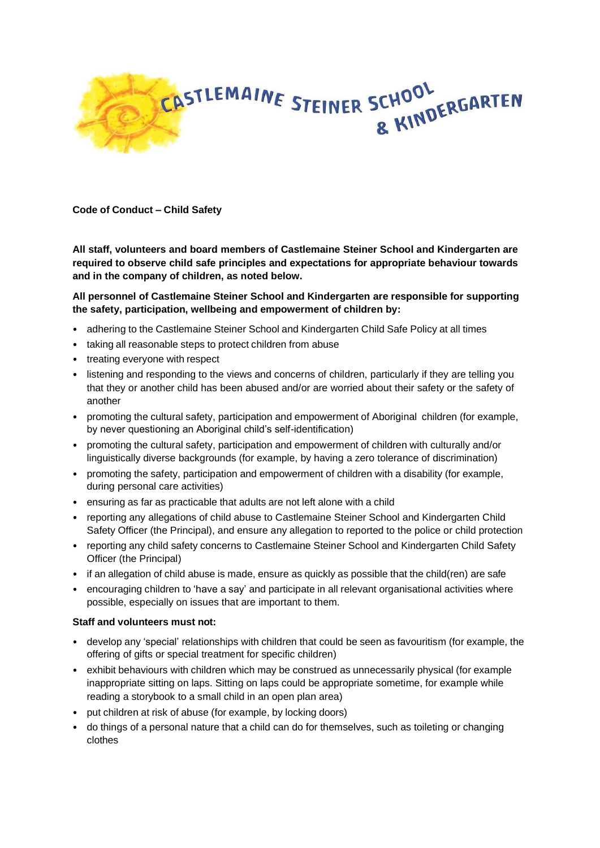

**Code of Conduct – Child Safety**

**All staff, volunteers and board members of Castlemaine Steiner School and Kindergarten are required to observe child safe principles and expectations for appropriate behaviour towards and in the company of children, as noted below.**

## **All personnel of Castlemaine Steiner School and Kindergarten are responsible for supporting the safety, participation, wellbeing and empowerment of children by:**

- adhering to the Castlemaine Steiner School and Kindergarten Child Safe Policy at all times
- taking all reasonable steps to protect children from abuse
- treating everyone with respect
- listening and responding to the views and concerns of children, particularly if they are telling you that they or another child has been abused and/or are worried about their safety or the safety of another
- promoting the cultural safety, participation and empowerment of Aboriginal children (for example, by never questioning an Aboriginal child's self-identification)
- promoting the cultural safety, participation and empowerment of children with culturally and/or linguistically diverse backgrounds (for example, by having a zero tolerance of discrimination)
- promoting the safety, participation and empowerment of children with a disability (for example, during personal care activities)
- ensuring as far as practicable that adults are not left alone with a child
- reporting any allegations of child abuse to Castlemaine Steiner School and Kindergarten Child Safety Officer (the Principal), and ensure any allegation to reported to the police or child protection
- reporting any child safety concerns to Castlemaine Steiner School and Kindergarten Child Safety Officer (the Principal)
- if an allegation of child abuse is made, ensure as quickly as possible that the child(ren) are safe
- encouraging children to 'have a say' and participate in all relevant organisational activities where possible, especially on issues that are important to them.

## **Staff and volunteers must not:**

- develop any 'special' relationships with children that could be seen as favouritism (for example, the offering of gifts or special treatment for specific children)
- exhibit behaviours with children which may be construed as unnecessarily physical (for example inappropriate sitting on laps. Sitting on laps could be appropriate sometime, for example while reading a storybook to a small child in an open plan area)
- put children at risk of abuse (for example, by locking doors)
- do things of a personal nature that a child can do for themselves, such as toileting or changing clothes